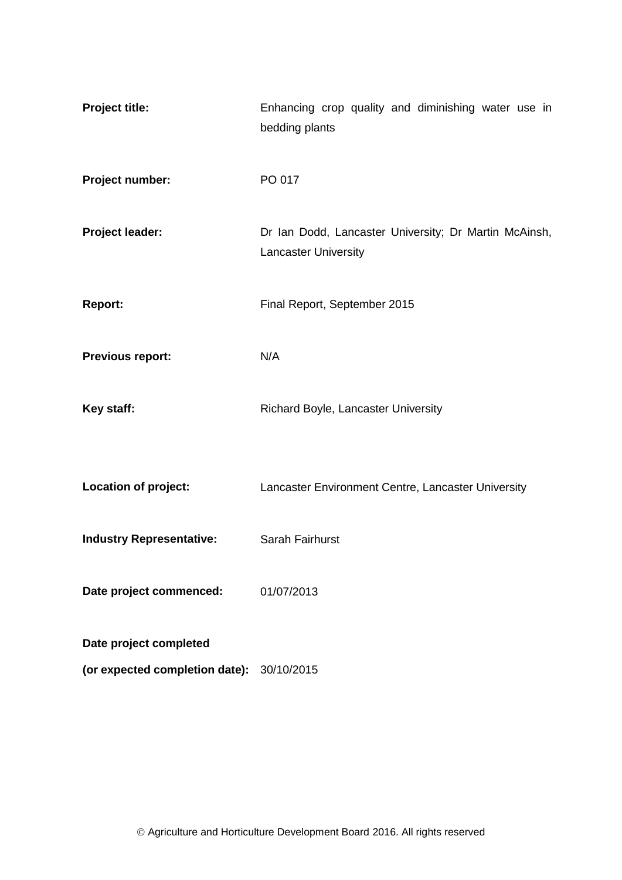| <b>Project title:</b>                     | Enhancing crop quality and diminishing water use in<br>bedding plants                |  |  |  |  |
|-------------------------------------------|--------------------------------------------------------------------------------------|--|--|--|--|
| Project number:                           | PO 017                                                                               |  |  |  |  |
| <b>Project leader:</b>                    | Dr Ian Dodd, Lancaster University; Dr Martin McAinsh,<br><b>Lancaster University</b> |  |  |  |  |
| <b>Report:</b>                            | Final Report, September 2015                                                         |  |  |  |  |
| <b>Previous report:</b>                   | N/A                                                                                  |  |  |  |  |
| Key staff:                                | Richard Boyle, Lancaster University                                                  |  |  |  |  |
| Location of project:                      | Lancaster Environment Centre, Lancaster University                                   |  |  |  |  |
| <b>Industry Representative:</b>           | Sarah Fairhurst                                                                      |  |  |  |  |
| Date project commenced:                   | 01/07/2013                                                                           |  |  |  |  |
| Date project completed                    |                                                                                      |  |  |  |  |
| (or expected completion date): 30/10/2015 |                                                                                      |  |  |  |  |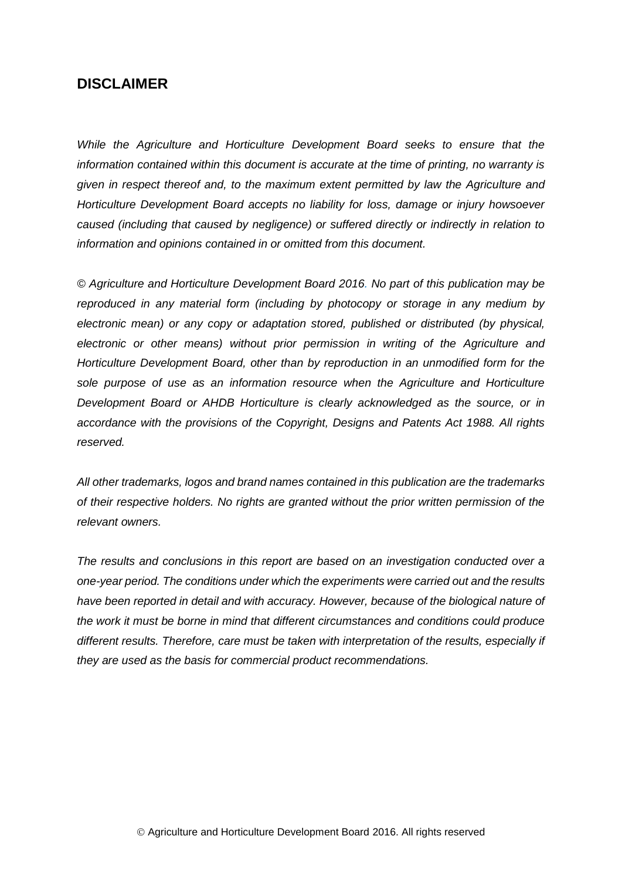# **DISCLAIMER**

*While the Agriculture and Horticulture Development Board seeks to ensure that the information contained within this document is accurate at the time of printing, no warranty is given in respect thereof and, to the maximum extent permitted by law the Agriculture and Horticulture Development Board accepts no liability for loss, damage or injury howsoever caused (including that caused by negligence) or suffered directly or indirectly in relation to information and opinions contained in or omitted from this document.* 

*© Agriculture and Horticulture Development Board 2016. No part of this publication may be reproduced in any material form (including by photocopy or storage in any medium by electronic mean) or any copy or adaptation stored, published or distributed (by physical, electronic or other means) without prior permission in writing of the Agriculture and Horticulture Development Board, other than by reproduction in an unmodified form for the sole purpose of use as an information resource when the Agriculture and Horticulture Development Board or AHDB Horticulture is clearly acknowledged as the source, or in accordance with the provisions of the Copyright, Designs and Patents Act 1988. All rights reserved.*

*All other trademarks, logos and brand names contained in this publication are the trademarks of their respective holders. No rights are granted without the prior written permission of the relevant owners.* 

*The results and conclusions in this report are based on an investigation conducted over a one-year period. The conditions under which the experiments were carried out and the results*  have been reported in detail and with accuracy. However, because of the biological nature of *the work it must be borne in mind that different circumstances and conditions could produce different results. Therefore, care must be taken with interpretation of the results, especially if they are used as the basis for commercial product recommendations.*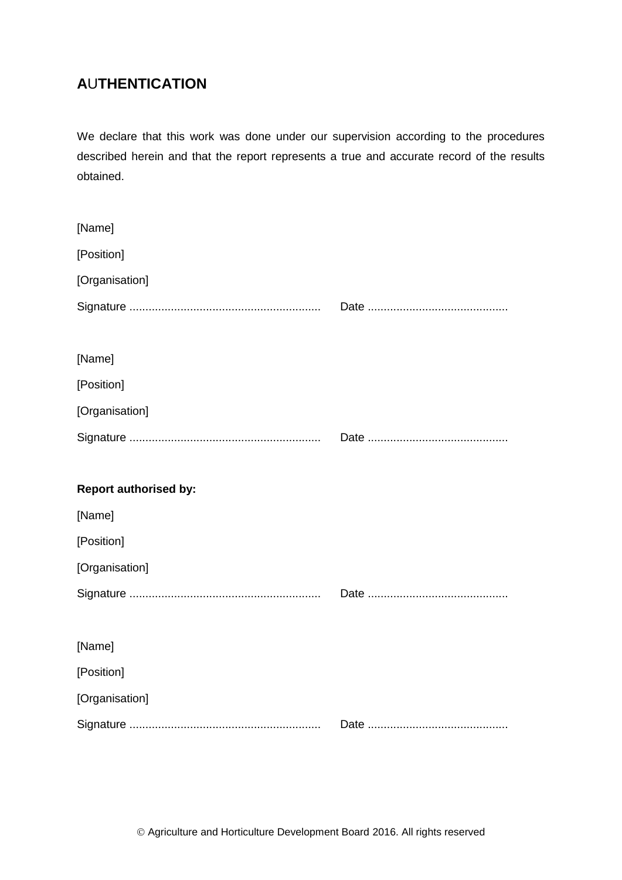# **A**U**THENTICATION**

We declare that this work was done under our supervision according to the procedures described herein and that the report represents a true and accurate record of the results obtained.

| [Name]                       |  |
|------------------------------|--|
| [Position]                   |  |
| [Organisation]               |  |
|                              |  |
|                              |  |
| [Name]                       |  |
| [Position]                   |  |
| [Organisation]               |  |
|                              |  |
|                              |  |
| <b>Report authorised by:</b> |  |
| [Name]                       |  |
|                              |  |
| [Position]                   |  |
| [Organisation]               |  |
|                              |  |
|                              |  |
| [Name]                       |  |
| [Position]                   |  |
| [Organisation]               |  |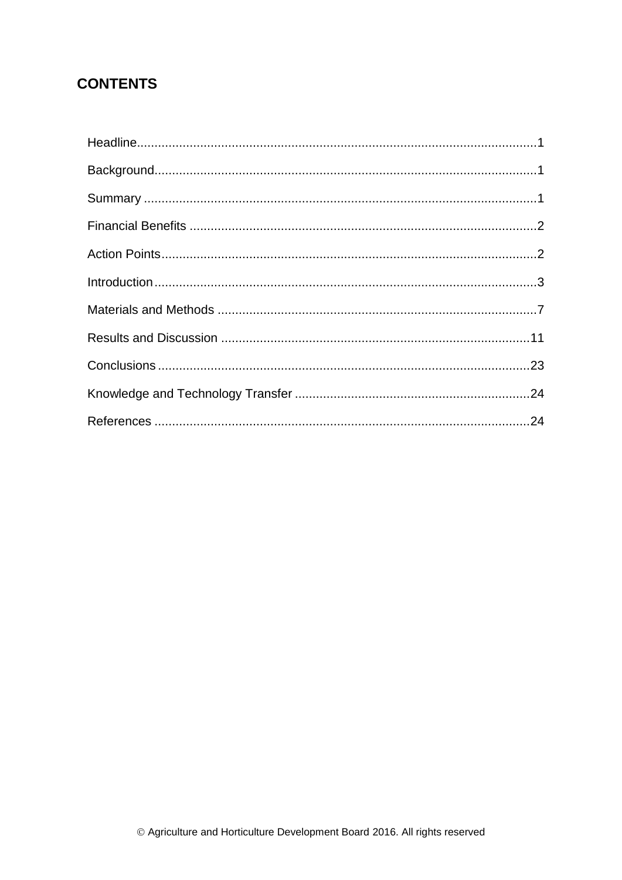# **CONTENTS**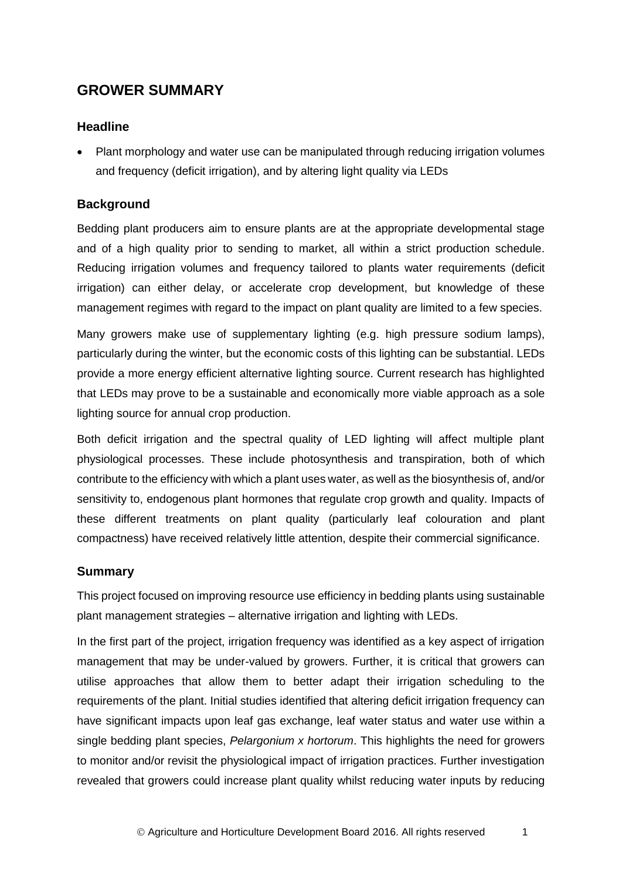# **GROWER SUMMARY**

## <span id="page-4-0"></span>**Headline**

 Plant morphology and water use can be manipulated through reducing irrigation volumes and frequency (deficit irrigation), and by altering light quality via LEDs

# <span id="page-4-1"></span>**Background**

Bedding plant producers aim to ensure plants are at the appropriate developmental stage and of a high quality prior to sending to market, all within a strict production schedule. Reducing irrigation volumes and frequency tailored to plants water requirements (deficit irrigation) can either delay, or accelerate crop development, but knowledge of these management regimes with regard to the impact on plant quality are limited to a few species.

Many growers make use of supplementary lighting (e.g. high pressure sodium lamps), particularly during the winter, but the economic costs of this lighting can be substantial. LEDs provide a more energy efficient alternative lighting source. Current research has highlighted that LEDs may prove to be a sustainable and economically more viable approach as a sole lighting source for annual crop production.

Both deficit irrigation and the spectral quality of LED lighting will affect multiple plant physiological processes. These include photosynthesis and transpiration, both of which contribute to the efficiency with which a plant uses water, as well as the biosynthesis of, and/or sensitivity to, endogenous plant hormones that regulate crop growth and quality. Impacts of these different treatments on plant quality (particularly leaf colouration and plant compactness) have received relatively little attention, despite their commercial significance.

## <span id="page-4-2"></span>**Summary**

This project focused on improving resource use efficiency in bedding plants using sustainable plant management strategies – alternative irrigation and lighting with LEDs.

In the first part of the project, irrigation frequency was identified as a key aspect of irrigation management that may be under-valued by growers. Further, it is critical that growers can utilise approaches that allow them to better adapt their irrigation scheduling to the requirements of the plant. Initial studies identified that altering deficit irrigation frequency can have significant impacts upon leaf gas exchange, leaf water status and water use within a single bedding plant species, *Pelargonium x hortorum*. This highlights the need for growers to monitor and/or revisit the physiological impact of irrigation practices. Further investigation revealed that growers could increase plant quality whilst reducing water inputs by reducing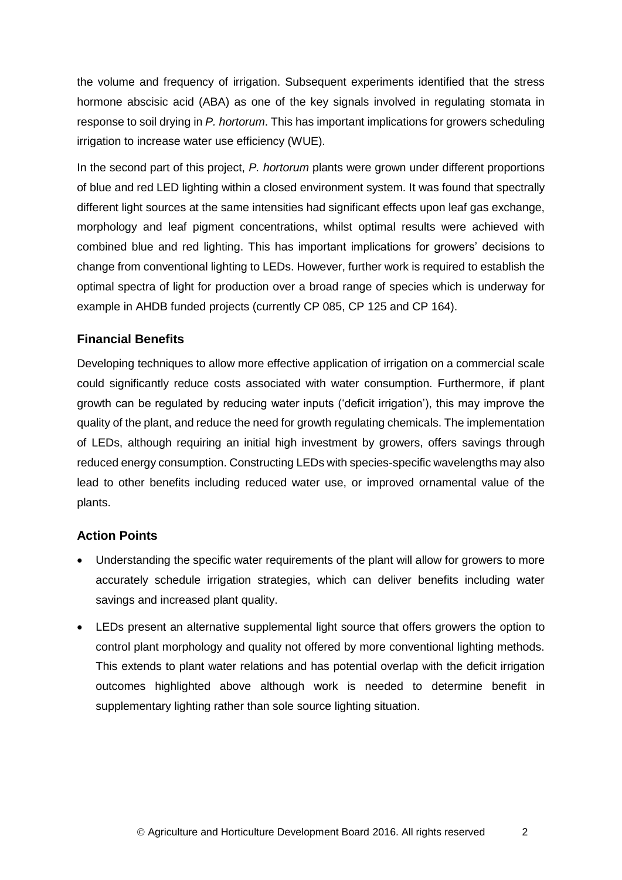the volume and frequency of irrigation. Subsequent experiments identified that the stress hormone abscisic acid (ABA) as one of the key signals involved in regulating stomata in response to soil drying in *P. hortorum*. This has important implications for growers scheduling irrigation to increase water use efficiency (WUE).

In the second part of this project, *P. hortorum* plants were grown under different proportions of blue and red LED lighting within a closed environment system. It was found that spectrally different light sources at the same intensities had significant effects upon leaf gas exchange, morphology and leaf pigment concentrations, whilst optimal results were achieved with combined blue and red lighting. This has important implications for growers' decisions to change from conventional lighting to LEDs. However, further work is required to establish the optimal spectra of light for production over a broad range of species which is underway for example in AHDB funded projects (currently CP 085, CP 125 and CP 164).

# <span id="page-5-0"></span>**Financial Benefits**

Developing techniques to allow more effective application of irrigation on a commercial scale could significantly reduce costs associated with water consumption. Furthermore, if plant growth can be regulated by reducing water inputs ('deficit irrigation'), this may improve the quality of the plant, and reduce the need for growth regulating chemicals. The implementation of LEDs, although requiring an initial high investment by growers, offers savings through reduced energy consumption. Constructing LEDs with species-specific wavelengths may also lead to other benefits including reduced water use, or improved ornamental value of the plants.

## <span id="page-5-1"></span>**Action Points**

- Understanding the specific water requirements of the plant will allow for growers to more accurately schedule irrigation strategies, which can deliver benefits including water savings and increased plant quality.
- LEDs present an alternative supplemental light source that offers growers the option to control plant morphology and quality not offered by more conventional lighting methods. This extends to plant water relations and has potential overlap with the deficit irrigation outcomes highlighted above although work is needed to determine benefit in supplementary lighting rather than sole source lighting situation.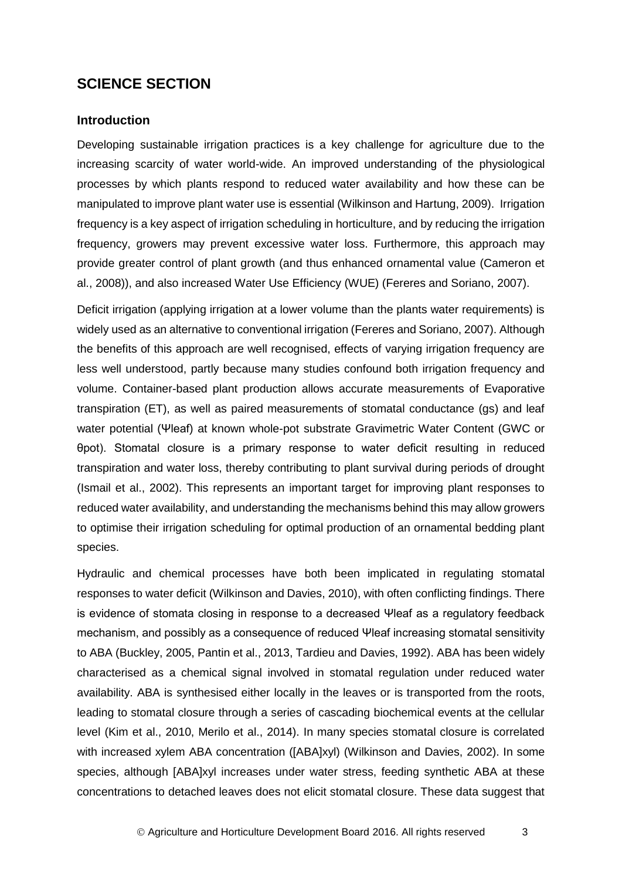# **SCIENCE SECTION**

### <span id="page-6-0"></span>**Introduction**

Developing sustainable irrigation practices is a key challenge for agriculture due to the increasing scarcity of water world-wide. An improved understanding of the physiological processes by which plants respond to reduced water availability and how these can be manipulated to improve plant water use is essential (Wilkinson and Hartung, 2009). Irrigation frequency is a key aspect of irrigation scheduling in horticulture, and by reducing the irrigation frequency, growers may prevent excessive water loss. Furthermore, this approach may provide greater control of plant growth (and thus enhanced ornamental value (Cameron et al., 2008)), and also increased Water Use Efficiency (WUE) (Fereres and Soriano, 2007).

Deficit irrigation (applying irrigation at a lower volume than the plants water requirements) is widely used as an alternative to conventional irrigation (Fereres and Soriano, 2007). Although the benefits of this approach are well recognised, effects of varying irrigation frequency are less well understood, partly because many studies confound both irrigation frequency and volume. Container-based plant production allows accurate measurements of Evaporative transpiration (ET), as well as paired measurements of stomatal conductance (gs) and leaf water potential (Ψleaf) at known whole-pot substrate Gravimetric Water Content (GWC or θpot). Stomatal closure is a primary response to water deficit resulting in reduced transpiration and water loss, thereby contributing to plant survival during periods of drought (Ismail et al., 2002). This represents an important target for improving plant responses to reduced water availability, and understanding the mechanisms behind this may allow growers to optimise their irrigation scheduling for optimal production of an ornamental bedding plant species.

Hydraulic and chemical processes have both been implicated in regulating stomatal responses to water deficit (Wilkinson and Davies, 2010), with often conflicting findings. There is evidence of stomata closing in response to a decreased Ψleaf as a regulatory feedback mechanism, and possibly as a consequence of reduced Ψleaf increasing stomatal sensitivity to ABA (Buckley, 2005, Pantin et al., 2013, Tardieu and Davies, 1992). ABA has been widely characterised as a chemical signal involved in stomatal regulation under reduced water availability. ABA is synthesised either locally in the leaves or is transported from the roots, leading to stomatal closure through a series of cascading biochemical events at the cellular level (Kim et al., 2010, Merilo et al., 2014). In many species stomatal closure is correlated with increased xylem ABA concentration ([ABA]xyl) (Wilkinson and Davies, 2002). In some species, although [ABA]xyl increases under water stress, feeding synthetic ABA at these concentrations to detached leaves does not elicit stomatal closure. These data suggest that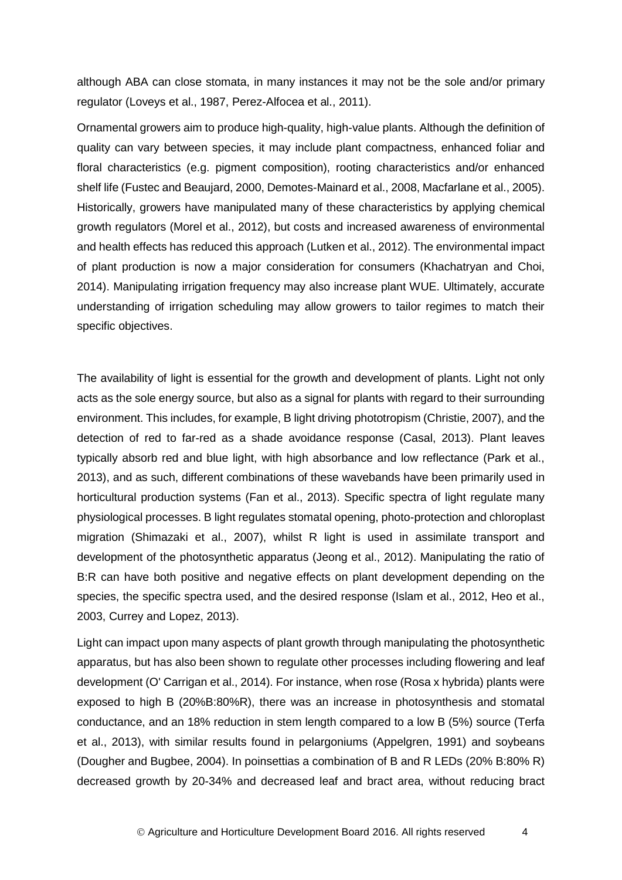although ABA can close stomata, in many instances it may not be the sole and/or primary regulator (Loveys et al., 1987, Perez-Alfocea et al., 2011).

Ornamental growers aim to produce high-quality, high-value plants. Although the definition of quality can vary between species, it may include plant compactness, enhanced foliar and floral characteristics (e.g. pigment composition), rooting characteristics and/or enhanced shelf life (Fustec and Beaujard, 2000, Demotes-Mainard et al., 2008, Macfarlane et al., 2005). Historically, growers have manipulated many of these characteristics by applying chemical growth regulators (Morel et al., 2012), but costs and increased awareness of environmental and health effects has reduced this approach (Lutken et al., 2012). The environmental impact of plant production is now a major consideration for consumers (Khachatryan and Choi, 2014). Manipulating irrigation frequency may also increase plant WUE. Ultimately, accurate understanding of irrigation scheduling may allow growers to tailor regimes to match their specific objectives.

The availability of light is essential for the growth and development of plants. Light not only acts as the sole energy source, but also as a signal for plants with regard to their surrounding environment. This includes, for example, B light driving phototropism (Christie, 2007), and the detection of red to far-red as a shade avoidance response (Casal, 2013). Plant leaves typically absorb red and blue light, with high absorbance and low reflectance (Park et al., 2013), and as such, different combinations of these wavebands have been primarily used in horticultural production systems (Fan et al., 2013). Specific spectra of light regulate many physiological processes. B light regulates stomatal opening, photo-protection and chloroplast migration (Shimazaki et al., 2007), whilst R light is used in assimilate transport and development of the photosynthetic apparatus (Jeong et al., 2012). Manipulating the ratio of B:R can have both positive and negative effects on plant development depending on the species, the specific spectra used, and the desired response (Islam et al., 2012, Heo et al., 2003, Currey and Lopez, 2013).

Light can impact upon many aspects of plant growth through manipulating the photosynthetic apparatus, but has also been shown to regulate other processes including flowering and leaf development (O' Carrigan et al., 2014). For instance, when rose (Rosa x hybrida) plants were exposed to high B (20%B:80%R), there was an increase in photosynthesis and stomatal conductance, and an 18% reduction in stem length compared to a low B (5%) source (Terfa et al., 2013), with similar results found in pelargoniums (Appelgren, 1991) and soybeans (Dougher and Bugbee, 2004). In poinsettias a combination of B and R LEDs (20% B:80% R) decreased growth by 20-34% and decreased leaf and bract area, without reducing bract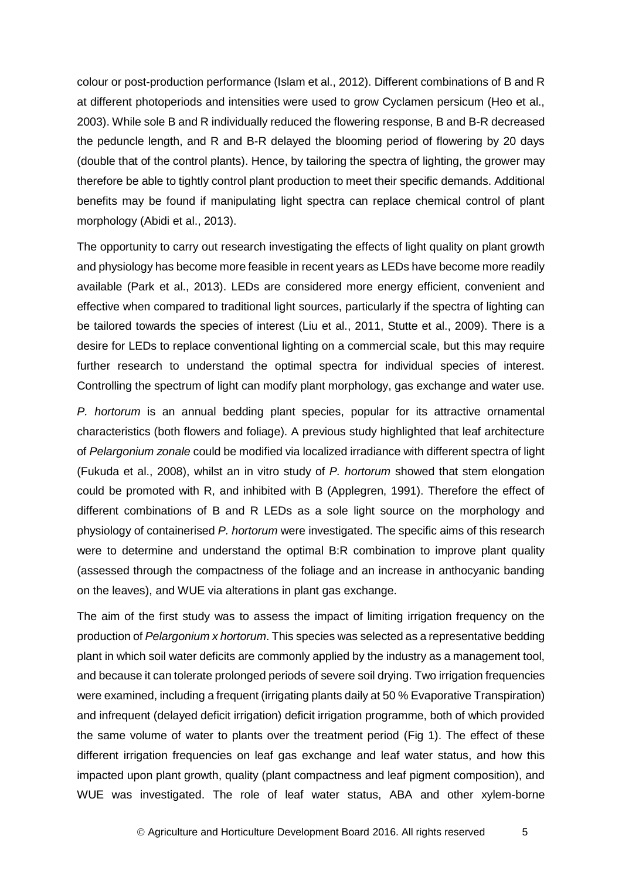colour or post-production performance (Islam et al., 2012). Different combinations of B and R at different photoperiods and intensities were used to grow Cyclamen persicum (Heo et al., 2003). While sole B and R individually reduced the flowering response, B and B-R decreased the peduncle length, and R and B-R delayed the blooming period of flowering by 20 days (double that of the control plants). Hence, by tailoring the spectra of lighting, the grower may therefore be able to tightly control plant production to meet their specific demands. Additional benefits may be found if manipulating light spectra can replace chemical control of plant morphology (Abidi et al., 2013).

The opportunity to carry out research investigating the effects of light quality on plant growth and physiology has become more feasible in recent years as LEDs have become more readily available (Park et al., 2013). LEDs are considered more energy efficient, convenient and effective when compared to traditional light sources, particularly if the spectra of lighting can be tailored towards the species of interest (Liu et al., 2011, Stutte et al., 2009). There is a desire for LEDs to replace conventional lighting on a commercial scale, but this may require further research to understand the optimal spectra for individual species of interest. Controlling the spectrum of light can modify plant morphology, gas exchange and water use.

*P. hortorum* is an annual bedding plant species, popular for its attractive ornamental characteristics (both flowers and foliage). A previous study highlighted that leaf architecture of *Pelargonium zonale* could be modified via localized irradiance with different spectra of light (Fukuda et al., 2008), whilst an in vitro study of *P. hortorum* showed that stem elongation could be promoted with R, and inhibited with B (Applegren, 1991). Therefore the effect of different combinations of B and R LEDs as a sole light source on the morphology and physiology of containerised *P. hortorum* were investigated. The specific aims of this research were to determine and understand the optimal B:R combination to improve plant quality (assessed through the compactness of the foliage and an increase in anthocyanic banding on the leaves), and WUE via alterations in plant gas exchange.

The aim of the first study was to assess the impact of limiting irrigation frequency on the production of *Pelargonium x hortorum*. This species was selected as a representative bedding plant in which soil water deficits are commonly applied by the industry as a management tool, and because it can tolerate prolonged periods of severe soil drying. Two irrigation frequencies were examined, including a frequent (irrigating plants daily at 50 % Evaporative Transpiration) and infrequent (delayed deficit irrigation) deficit irrigation programme, both of which provided the same volume of water to plants over the treatment period (Fig 1). The effect of these different irrigation frequencies on leaf gas exchange and leaf water status, and how this impacted upon plant growth, quality (plant compactness and leaf pigment composition), and WUE was investigated. The role of leaf water status, ABA and other xylem-borne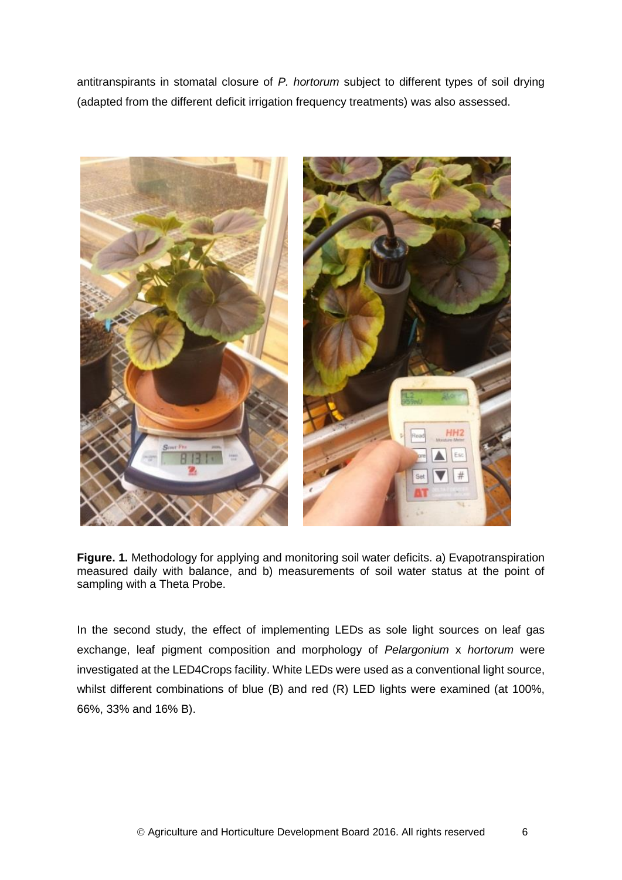antitranspirants in stomatal closure of *P. hortorum* subject to different types of soil drying (adapted from the different deficit irrigation frequency treatments) was also assessed.



**Figure. 1.** Methodology for applying and monitoring soil water deficits. a) Evapotranspiration measured daily with balance, and b) measurements of soil water status at the point of sampling with a Theta Probe.

In the second study, the effect of implementing LEDs as sole light sources on leaf gas exchange, leaf pigment composition and morphology of *Pelargonium* x *hortorum* were investigated at the LED4Crops facility. White LEDs were used as a conventional light source, whilst different combinations of blue (B) and red (R) LED lights were examined (at 100%, 66%, 33% and 16% B).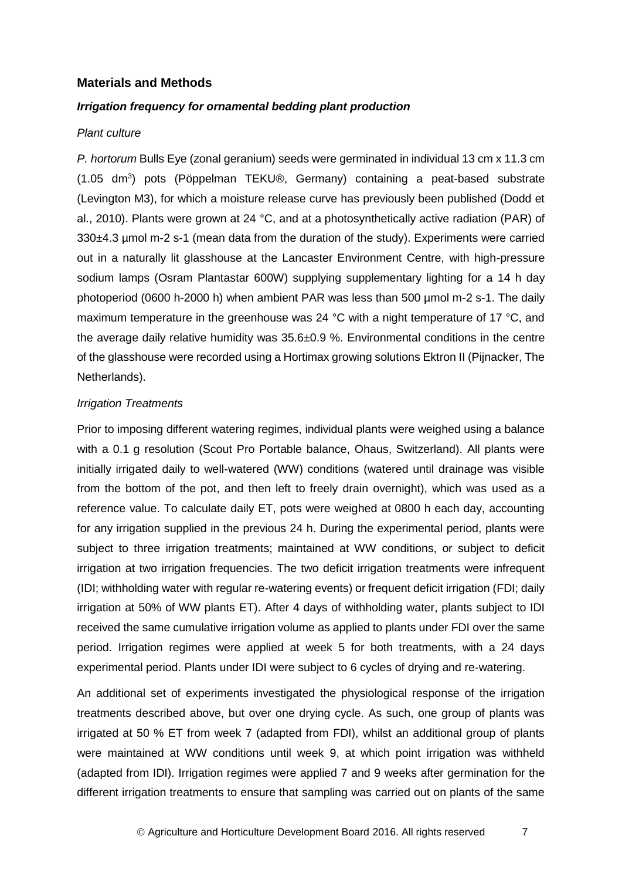### <span id="page-10-0"></span>**Materials and Methods**

#### *Irrigation frequency for ornamental bedding plant production*

### *Plant culture*

*P. hortorum* Bulls Eye (zonal geranium) seeds were germinated in individual 13 cm x 11.3 cm (1.05 dm<sup>3</sup>) pots (Pöppelman TEKU®, Germany) containing a peat-based substrate (Levington M3), for which a moisture release curve has previously been published (Dodd et al., 2010). Plants were grown at 24 °C, and at a photosynthetically active radiation (PAR) of 330±4.3 µmol m-2 s-1 (mean data from the duration of the study). Experiments were carried out in a naturally lit glasshouse at the Lancaster Environment Centre, with high-pressure sodium lamps (Osram Plantastar 600W) supplying supplementary lighting for a 14 h day photoperiod (0600 h-2000 h) when ambient PAR was less than 500 µmol m-2 s-1. The daily maximum temperature in the greenhouse was 24 °C with a night temperature of 17 °C, and the average daily relative humidity was 35.6±0.9 %. Environmental conditions in the centre of the glasshouse were recorded using a Hortimax growing solutions Ektron II (Pijnacker, The Netherlands).

#### *Irrigation Treatments*

Prior to imposing different watering regimes, individual plants were weighed using a balance with a 0.1 g resolution (Scout Pro Portable balance, Ohaus, Switzerland). All plants were initially irrigated daily to well-watered (WW) conditions (watered until drainage was visible from the bottom of the pot, and then left to freely drain overnight), which was used as a reference value. To calculate daily ET, pots were weighed at 0800 h each day, accounting for any irrigation supplied in the previous 24 h. During the experimental period, plants were subject to three irrigation treatments; maintained at WW conditions, or subject to deficit irrigation at two irrigation frequencies. The two deficit irrigation treatments were infrequent (IDI; withholding water with regular re-watering events) or frequent deficit irrigation (FDI; daily irrigation at 50% of WW plants ET). After 4 days of withholding water, plants subject to IDI received the same cumulative irrigation volume as applied to plants under FDI over the same period. Irrigation regimes were applied at week 5 for both treatments, with a 24 days experimental period. Plants under IDI were subject to 6 cycles of drying and re-watering.

An additional set of experiments investigated the physiological response of the irrigation treatments described above, but over one drying cycle. As such, one group of plants was irrigated at 50 % ET from week 7 (adapted from FDI), whilst an additional group of plants were maintained at WW conditions until week 9, at which point irrigation was withheld (adapted from IDI). Irrigation regimes were applied 7 and 9 weeks after germination for the different irrigation treatments to ensure that sampling was carried out on plants of the same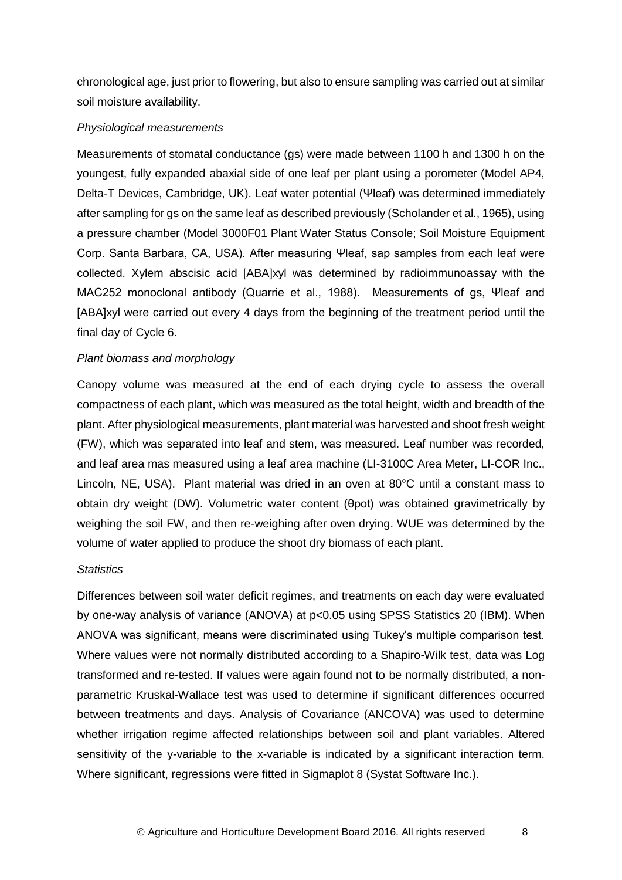chronological age, just prior to flowering, but also to ensure sampling was carried out at similar soil moisture availability.

#### *Physiological measurements*

Measurements of stomatal conductance (gs) were made between 1100 h and 1300 h on the youngest, fully expanded abaxial side of one leaf per plant using a porometer (Model AP4, Delta-T Devices, Cambridge, UK). Leaf water potential (Ψleaf) was determined immediately after sampling for gs on the same leaf as described previously (Scholander et al., 1965), using a pressure chamber (Model 3000F01 Plant Water Status Console; Soil Moisture Equipment Corp. Santa Barbara, CA, USA). After measuring Ψleaf, sap samples from each leaf were collected. Xylem abscisic acid [ABA]xyl was determined by radioimmunoassay with the MAC252 monoclonal antibody (Quarrie et al., 1988). Measurements of gs, Ψleaf and [ABA]xyl were carried out every 4 days from the beginning of the treatment period until the final day of Cycle 6.

#### *Plant biomass and morphology*

Canopy volume was measured at the end of each drying cycle to assess the overall compactness of each plant, which was measured as the total height, width and breadth of the plant. After physiological measurements, plant material was harvested and shoot fresh weight (FW), which was separated into leaf and stem, was measured. Leaf number was recorded, and leaf area mas measured using a leaf area machine (LI-3100C Area Meter, LI-COR Inc., Lincoln, NE, USA). Plant material was dried in an oven at 80°C until a constant mass to obtain dry weight (DW). Volumetric water content (θpot) was obtained gravimetrically by weighing the soil FW, and then re-weighing after oven drying. WUE was determined by the volume of water applied to produce the shoot dry biomass of each plant.

#### *Statistics*

Differences between soil water deficit regimes, and treatments on each day were evaluated by one-way analysis of variance (ANOVA) at p<0.05 using SPSS Statistics 20 (IBM). When ANOVA was significant, means were discriminated using Tukey's multiple comparison test. Where values were not normally distributed according to a Shapiro-Wilk test, data was Log transformed and re-tested. If values were again found not to be normally distributed, a nonparametric Kruskal-Wallace test was used to determine if significant differences occurred between treatments and days. Analysis of Covariance (ANCOVA) was used to determine whether irrigation regime affected relationships between soil and plant variables. Altered sensitivity of the y-variable to the x-variable is indicated by a significant interaction term. Where significant, regressions were fitted in Sigmaplot 8 (Systat Software Inc.).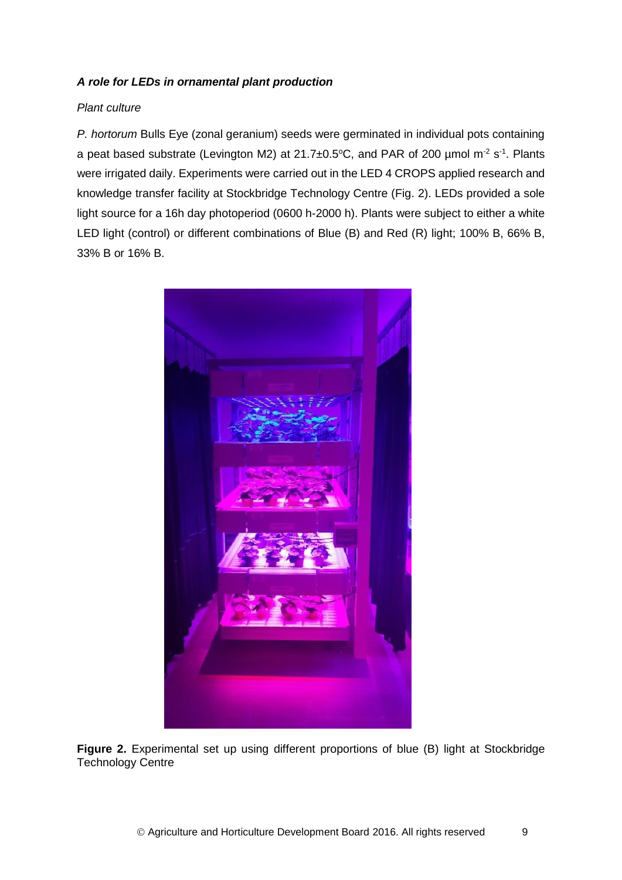### *A role for LEDs in ornamental plant production*

### *Plant culture*

*P. hortorum* Bulls Eye (zonal geranium) seeds were germinated in individual pots containing a peat based substrate (Levington M2) at 21.7 $\pm$ 0.5°C, and PAR of 200 µmol m<sup>-2</sup> s<sup>-1</sup>. Plants were irrigated daily. Experiments were carried out in the LED 4 CROPS applied research and knowledge transfer facility at Stockbridge Technology Centre (Fig. 2). LEDs provided a sole light source for a 16h day photoperiod (0600 h-2000 h). Plants were subject to either a white LED light (control) or different combinations of Blue (B) and Red (R) light; 100% B, 66% B, 33% B or 16% B.



**Figure 2.** Experimental set up using different proportions of blue (B) light at Stockbridge Technology Centre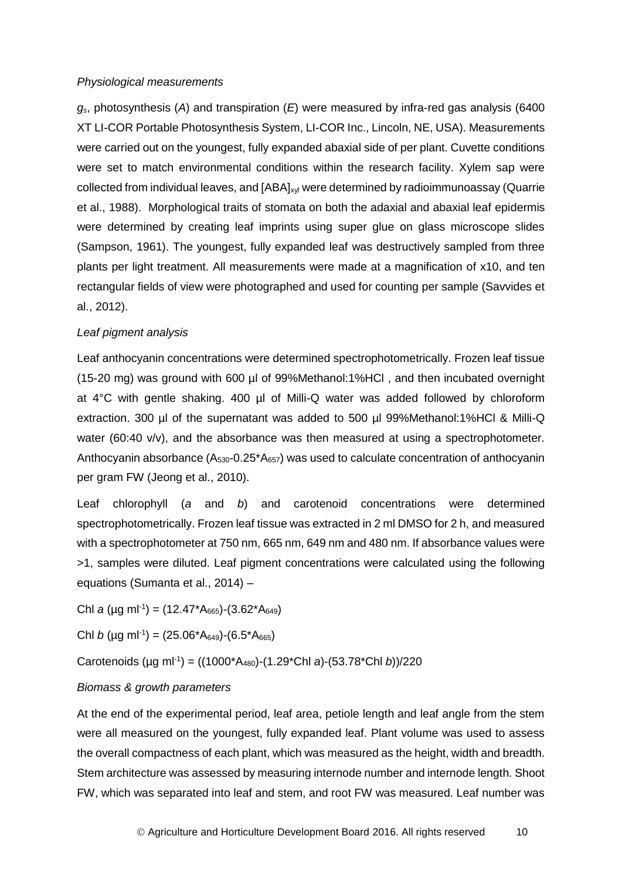#### *Physiological measurements*

*gs*, photosynthesis (*A*) and transpiration (*E*) were measured by infra-red gas analysis (6400 XT LI-COR Portable Photosynthesis System, LI-COR Inc., Lincoln, NE, USA). Measurements were carried out on the youngest, fully expanded abaxial side of per plant. Cuvette conditions were set to match environmental conditions within the research facility. Xylem sap were collected from individual leaves, and [ABA]<sub>xyl</sub> were determined by radioimmunoassay (Quarrie et al., 1988). Morphological traits of stomata on both the adaxial and abaxial leaf epidermis were determined by creating leaf imprints using super glue on glass microscope slides (Sampson, 1961). The youngest, fully expanded leaf was destructively sampled from three plants per light treatment. All measurements were made at a magnification of x10, and ten rectangular fields of view were photographed and used for counting per sample (Savvides et al., 2012).

### *Leaf pigment analysis*

Leaf anthocyanin concentrations were determined spectrophotometrically. Frozen leaf tissue (15-20 mg) was ground with 600 µl of 99%Methanol:1%HCl , and then incubated overnight at 4°C with gentle shaking. 400 µl of Milli-Q water was added followed by chloroform extraction. 300 µl of the supernatant was added to 500 µl 99%Methanol:1%HCl & Milli-Q water (60:40 v/v), and the absorbance was then measured at using a spectrophotometer. Anthocyanin absorbance  $(A_{530} - 0.25 A_{657})$  was used to calculate concentration of anthocyanin per gram FW (Jeong et al., 2010).

Leaf chlorophyll (*a* and *b*) and carotenoid concentrations were determined spectrophotometrically. Frozen leaf tissue was extracted in 2 ml DMSO for 2 h, and measured with a spectrophotometer at 750 nm, 665 nm, 649 nm and 480 nm. If absorbance values were >1, samples were diluted. Leaf pigment concentrations were calculated using the following equations (Sumanta et al., 2014) –

Chl *a* (µg ml<sup>-1</sup>) = (12.47\*A<sub>665</sub>)-(3.62\*A<sub>649</sub>)

Chl *b* (µg ml<sup>-1</sup>) = (25.06\*A<sub>649</sub>)-(6.5\*A<sub>665</sub>)

Carotenoids (µg ml-1 ) = ((1000\*A480)-(1.29\*Chl *a*)-(53.78\*Chl *b*))/220

#### *Biomass & growth parameters*

At the end of the experimental period, leaf area, petiole length and leaf angle from the stem were all measured on the youngest, fully expanded leaf. Plant volume was used to assess the overall compactness of each plant, which was measured as the height, width and breadth. Stem architecture was assessed by measuring internode number and internode length. Shoot FW, which was separated into leaf and stem, and root FW was measured. Leaf number was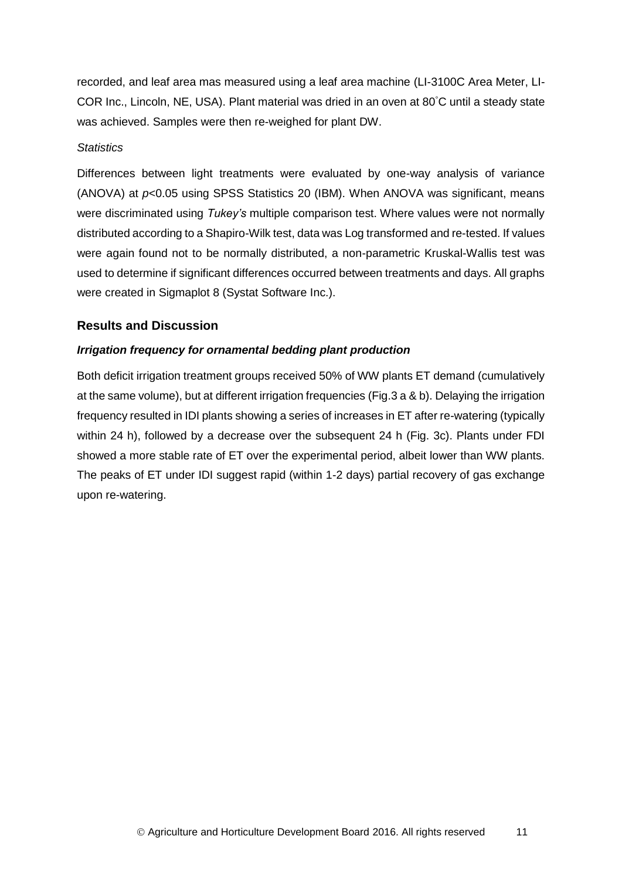recorded, and leaf area mas measured using a leaf area machine (LI-3100C Area Meter, LI-COR Inc., Lincoln, NE, USA). Plant material was dried in an oven at 80°C until a steady state was achieved. Samples were then re-weighed for plant DW.

### *Statistics*

Differences between light treatments were evaluated by one-way analysis of variance (ANOVA) at *p*<0.05 using SPSS Statistics 20 (IBM). When ANOVA was significant, means were discriminated using *Tukey's* multiple comparison test. Where values were not normally distributed according to a Shapiro-Wilk test, data was Log transformed and re-tested. If values were again found not to be normally distributed, a non-parametric Kruskal-Wallis test was used to determine if significant differences occurred between treatments and days. All graphs were created in Sigmaplot 8 (Systat Software Inc.).

## <span id="page-14-0"></span>**Results and Discussion**

## *Irrigation frequency for ornamental bedding plant production*

Both deficit irrigation treatment groups received 50% of WW plants ET demand (cumulatively at the same volume), but at different irrigation frequencies (Fig.3 a & b). Delaying the irrigation frequency resulted in IDI plants showing a series of increases in ET after re-watering (typically within 24 h), followed by a decrease over the subsequent 24 h (Fig. 3c). Plants under FDI showed a more stable rate of ET over the experimental period, albeit lower than WW plants. The peaks of ET under IDI suggest rapid (within 1-2 days) partial recovery of gas exchange upon re-watering.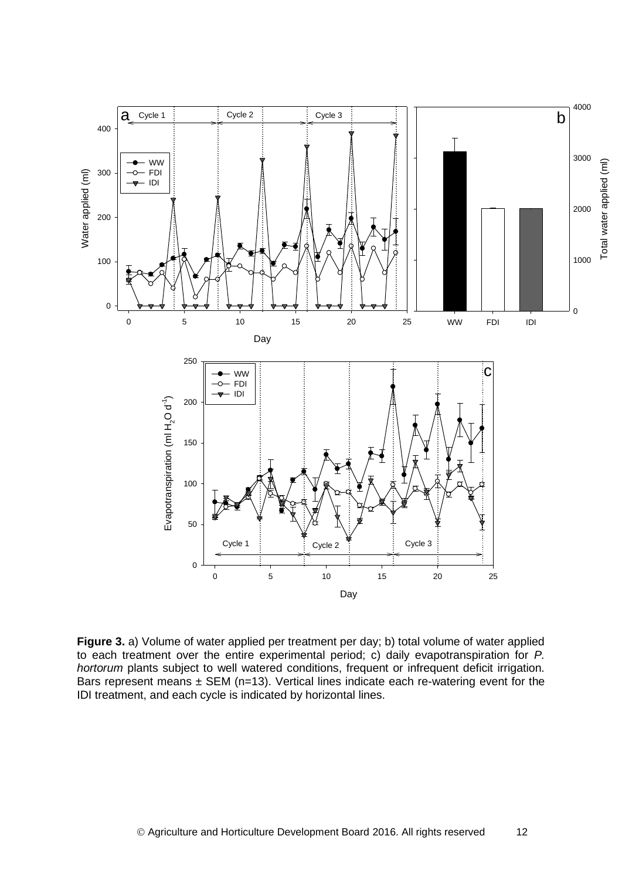

**Figure 3.** a) Volume of water applied per treatment per day; b) total volume of water applied to each treatment over the entire experimental period; c) daily evapotranspiration for *P. hortorum* plants subject to well watered conditions, frequent or infrequent deficit irrigation. Bars represent means  $\pm$  SEM (n=13). Vertical lines indicate each re-watering event for the IDI treatment, and each cycle is indicated by horizontal lines.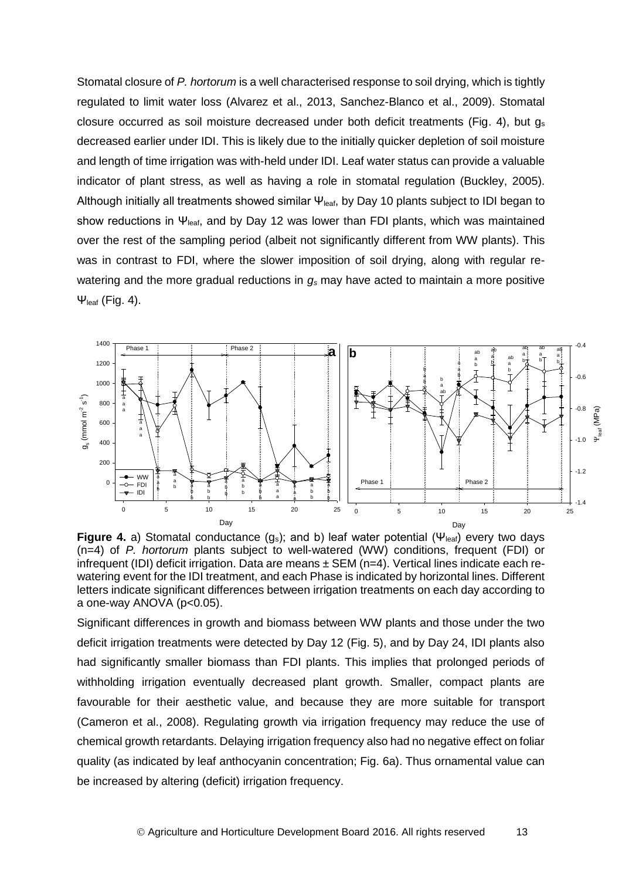Stomatal closure of *P. hortorum* is a well characterised response to soil drying, which is tightly regulated to limit water loss (Alvarez et al., 2013, Sanchez-Blanco et al., 2009). Stomatal closure occurred as soil moisture decreased under both deficit treatments (Fig. 4), but  $q_s$ decreased earlier under IDI. This is likely due to the initially quicker depletion of soil moisture and length of time irrigation was with-held under IDI. Leaf water status can provide a valuable indicator of plant stress, as well as having a role in stomatal regulation (Buckley, 2005). Although initially all treatments showed similar  $\Psi_{\text{leaf}}$ , by Day 10 plants subject to IDI began to show reductions in  $\Psi_{\text{leaf}}$ , and by Day 12 was lower than FDI plants, which was maintained over the rest of the sampling period (albeit not significantly different from WW plants). This was in contrast to FDI, where the slower imposition of soil drying, along with regular rewatering and the more gradual reductions in *g<sup>s</sup>* may have acted to maintain a more positive  $\Psi_{\text{leaf}}$  (Fig. 4).



**Figure 4.** a) Stomatal conductance  $(g_s)$ ; and b) leaf water potential  $(\Psi_{\text{leaf}})$  every two days (n=4) of *P. hortorum* plants subject to well-watered (WW) conditions, frequent (FDI) or infrequent (IDI) deficit irrigation. Data are means  $\pm$  SEM (n=4). Vertical lines indicate each rewatering event for the IDI treatment, and each Phase is indicated by horizontal lines. Different letters indicate significant differences between irrigation treatments on each day according to a one-way ANOVA (p<0.05).

Significant differences in growth and biomass between WW plants and those under the two deficit irrigation treatments were detected by Day 12 (Fig. 5), and by Day 24, IDI plants also had significantly smaller biomass than FDI plants. This implies that prolonged periods of withholding irrigation eventually decreased plant growth. Smaller, compact plants are favourable for their aesthetic value, and because they are more suitable for transport (Cameron et al., 2008). Regulating growth via irrigation frequency may reduce the use of chemical growth retardants. Delaying irrigation frequency also had no negative effect on foliar quality (as indicated by leaf anthocyanin concentration; Fig. 6a). Thus ornamental value can be increased by altering (deficit) irrigation frequency.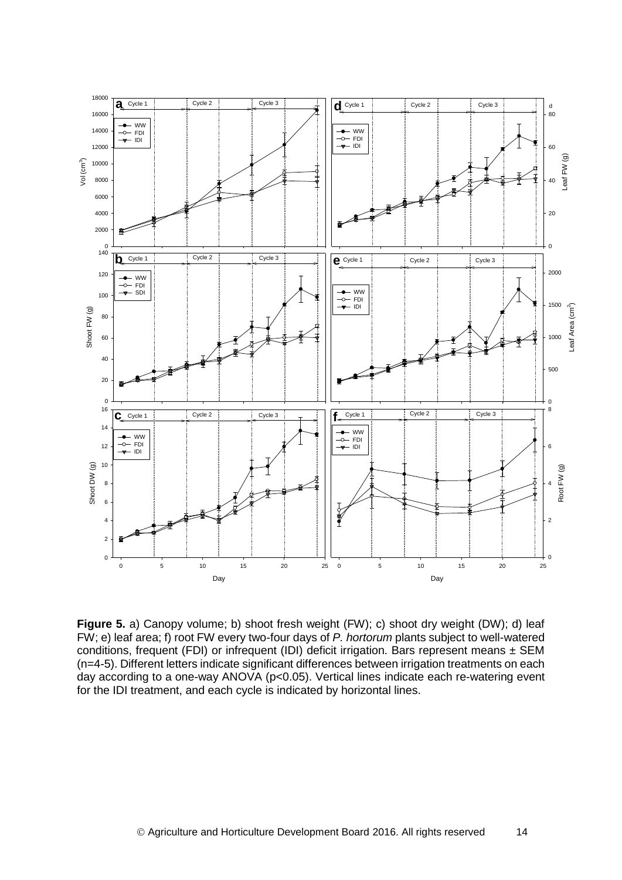![](_page_17_Figure_0.jpeg)

**Figure 5.** a) Canopy volume; b) shoot fresh weight (FW); c) shoot dry weight (DW); d) leaf FW; e) leaf area; f) root FW every two-four days of *P. hortorum* plants subject to well-watered conditions, frequent (FDI) or infrequent (IDI) deficit irrigation. Bars represent means ± SEM (n=4-5). Different letters indicate significant differences between irrigation treatments on each day according to a one-way ANOVA (p<0.05). Vertical lines indicate each re-watering event for the IDI treatment, and each cycle is indicated by horizontal lines.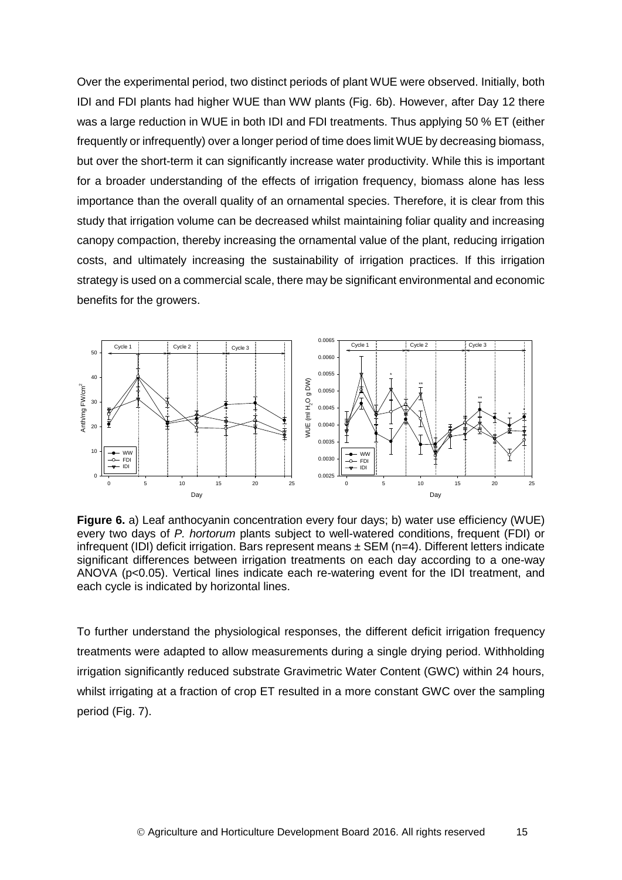Over the experimental period, two distinct periods of plant WUE were observed. Initially, both IDI and FDI plants had higher WUE than WW plants (Fig. 6b). However, after Day 12 there was a large reduction in WUE in both IDI and FDI treatments. Thus applying 50 % ET (either frequently or infrequently) over a longer period of time does limit WUE by decreasing biomass, but over the short-term it can significantly increase water productivity. While this is important for a broader understanding of the effects of irrigation frequency, biomass alone has less importance than the overall quality of an ornamental species. Therefore, it is clear from this study that irrigation volume can be decreased whilst maintaining foliar quality and increasing canopy compaction, thereby increasing the ornamental value of the plant, reducing irrigation costs, and ultimately increasing the sustainability of irrigation practices. If this irrigation strategy is used on a commercial scale, there may be significant environmental and economic benefits for the growers.

![](_page_18_Figure_1.jpeg)

**Figure 6.** a) Leaf anthocyanin concentration every four days; b) water use efficiency (WUE) every two days of *P. hortorum* plants subject to well-watered conditions, frequent (FDI) or infrequent (IDI) deficit irrigation. Bars represent means  $\pm$  SEM (n=4). Different letters indicate significant differences between irrigation treatments on each day according to a one-way ANOVA (p<0.05). Vertical lines indicate each re-watering event for the IDI treatment, and each cycle is indicated by horizontal lines.

To further understand the physiological responses, the different deficit irrigation frequency treatments were adapted to allow measurements during a single drying period. Withholding irrigation significantly reduced substrate Gravimetric Water Content (GWC) within 24 hours, whilst irrigating at a fraction of crop ET resulted in a more constant GWC over the sampling period (Fig. 7).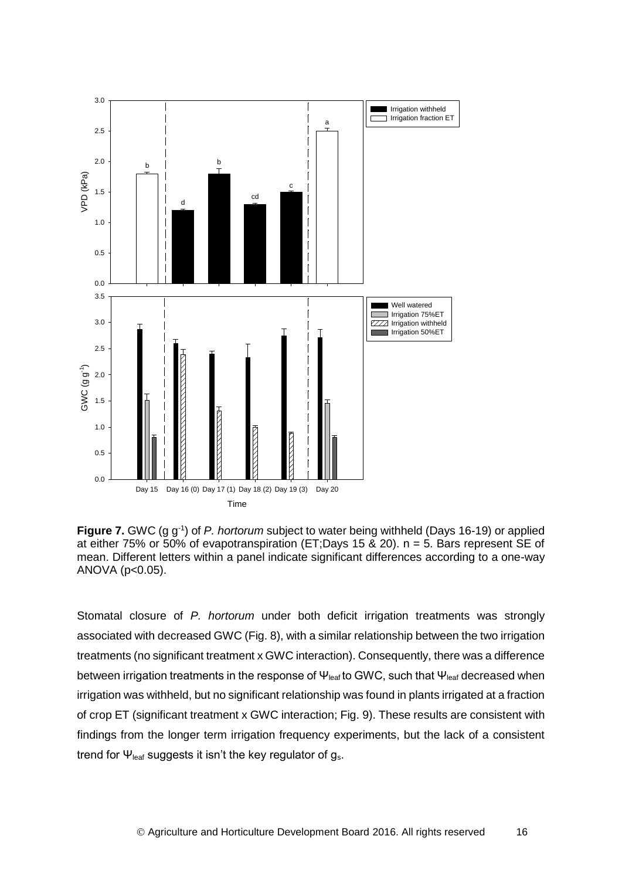![](_page_19_Figure_0.jpeg)

![](_page_19_Figure_1.jpeg)

Stomatal closure of *P. hortorum* under both deficit irrigation treatments was strongly associated with decreased GWC (Fig. 8), with a similar relationship between the two irrigation treatments (no significant treatment x GWC interaction). Consequently, there was a difference between irrigation treatments in the response of  $\Psi_{\text{leaf}}$  to GWC, such that  $\Psi_{\text{leaf}}$  decreased when irrigation was withheld, but no significant relationship was found in plants irrigated at a fraction of crop ET (significant treatment x GWC interaction; Fig. 9). These results are consistent with findings from the longer term irrigation frequency experiments, but the lack of a consistent trend for  $\Psi_{\text{leaf}}$  suggests it isn't the key regulator of  $g_s$ .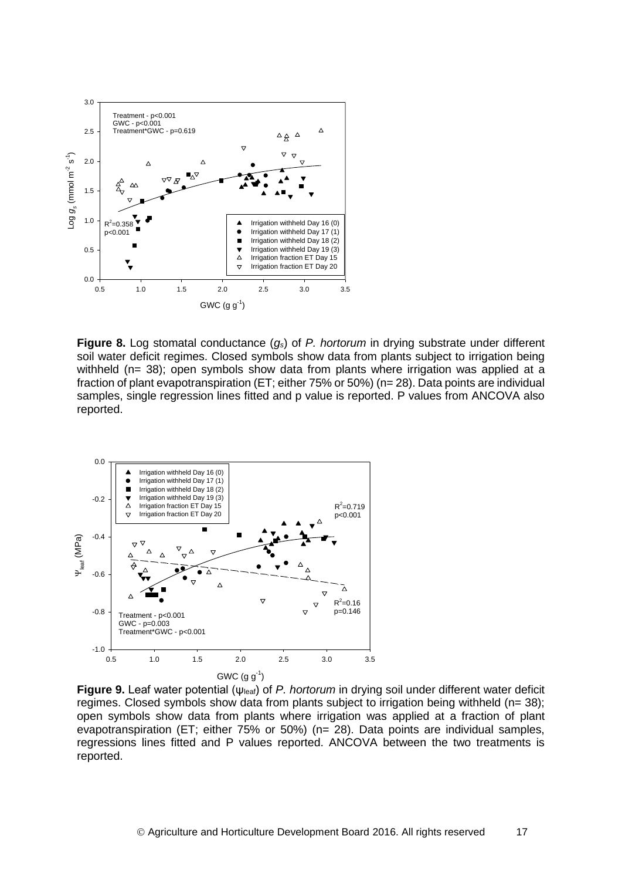![](_page_20_Figure_0.jpeg)

**Figure 8.** Log stomatal conductance (*gs*) of *P. hortorum* in drying substrate under different soil water deficit regimes. Closed symbols show data from plants subject to irrigation being withheld (n= 38); open symbols show data from plants where irrigation was applied at a fraction of plant evapotranspiration (ET; either 75% or 50%) (n= 28). Data points are individual samples, single regression lines fitted and p value is reported. P values from ANCOVA also reported.

![](_page_20_Figure_2.jpeg)

**Figure 9.** Leaf water potential (ψleaf) of *P. hortorum* in drying soil under different water deficit regimes. Closed symbols show data from plants subject to irrigation being withheld (n= 38); open symbols show data from plants where irrigation was applied at a fraction of plant evapotranspiration (ET; either 75% or 50%) (n= 28). Data points are individual samples, regressions lines fitted and P values reported. ANCOVA between the two treatments is reported.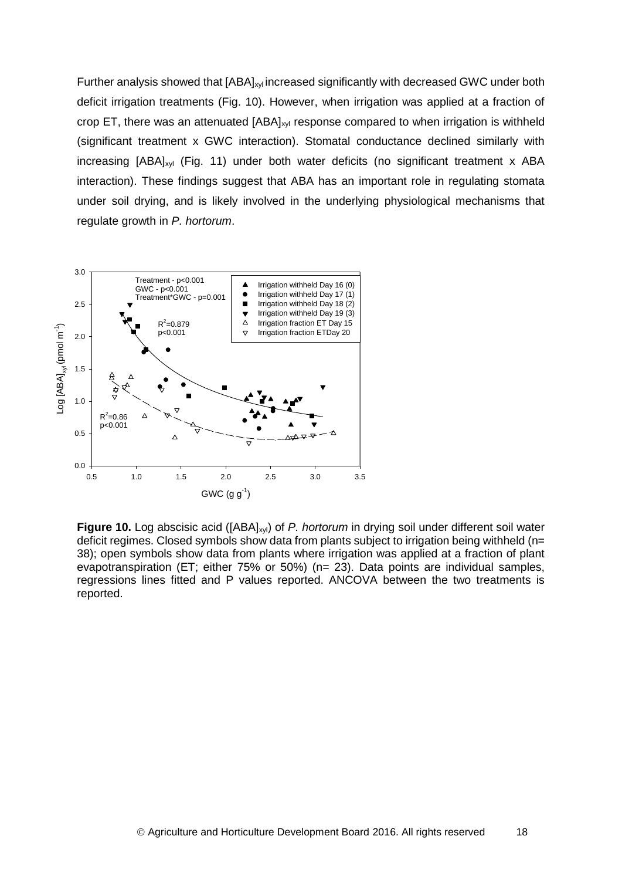Further analysis showed that [ABA]<sub>xyl</sub> increased significantly with decreased GWC under both deficit irrigation treatments (Fig. 10). However, when irrigation was applied at a fraction of crop ET, there was an attenuated  $[ABA]_{x}$  response compared to when irrigation is withheld (significant treatment x GWC interaction). Stomatal conductance declined similarly with increasing  $[ABA]_{xyl}$  (Fig. 11) under both water deficits (no significant treatment x ABA interaction). These findings suggest that ABA has an important role in regulating stomata under soil drying, and is likely involved in the underlying physiological mechanisms that regulate growth in *P. hortorum*.

![](_page_21_Figure_1.jpeg)

**Figure 10.** Log abscisic acid ([ABA]xyl) of *P. hortorum* in drying soil under different soil water deficit regimes. Closed symbols show data from plants subject to irrigation being withheld (n= 38); open symbols show data from plants where irrigation was applied at a fraction of plant evapotranspiration (ET; either 75% or 50%) (n= 23). Data points are individual samples, regressions lines fitted and P values reported. ANCOVA between the two treatments is reported.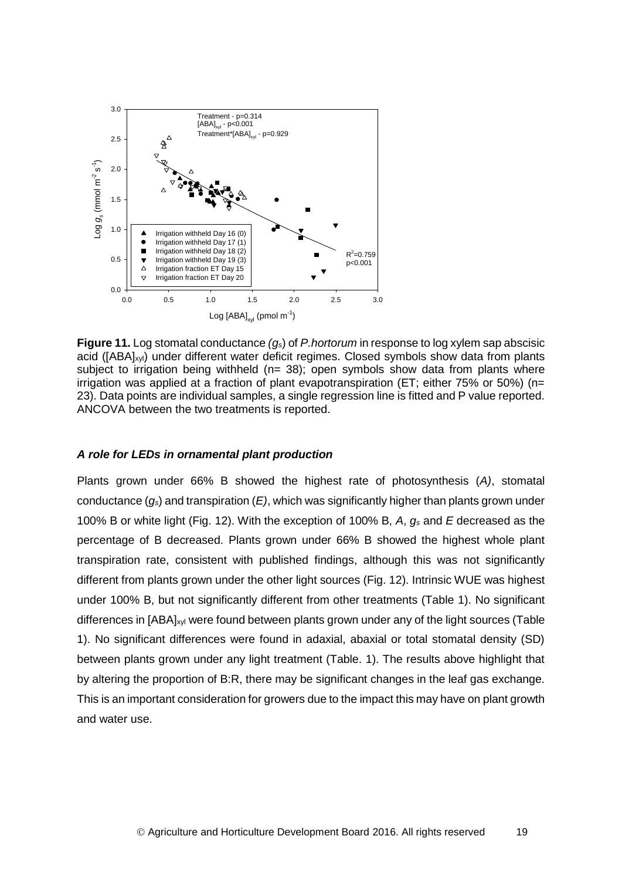![](_page_22_Figure_0.jpeg)

**Figure 11.** Log stomatal conductance *(gs*) of *P.hortorum* in response to log xylem sap abscisic acid ([ABA]<sub>xyl</sub>) under different water deficit regimes. Closed symbols show data from plants subject to irrigation being withheld ( $n=$  38); open symbols show data from plants where irrigation was applied at a fraction of plant evapotranspiration (ET; either 75% or 50%) (n= 23). Data points are individual samples, a single regression line is fitted and P value reported. ANCOVA between the two treatments is reported.

#### *A role for LEDs in ornamental plant production*

Plants grown under 66% B showed the highest rate of photosynthesis (*A)*, stomatal conductance (*gs*) and transpiration (*E)*, which was significantly higher than plants grown under 100% B or white light (Fig. 12). With the exception of 100% B, *A*, *g<sup>s</sup>* and *E* decreased as the percentage of B decreased. Plants grown under 66% B showed the highest whole plant transpiration rate, consistent with published findings, although this was not significantly different from plants grown under the other light sources (Fig. 12). Intrinsic WUE was highest under 100% B, but not significantly different from other treatments (Table 1). No significant differences in [ABA]<sub>xyl</sub> were found between plants grown under any of the light sources (Table 1). No significant differences were found in adaxial, abaxial or total stomatal density (SD) between plants grown under any light treatment (Table. 1). The results above highlight that by altering the proportion of B:R, there may be significant changes in the leaf gas exchange. This is an important consideration for growers due to the impact this may have on plant growth and water use.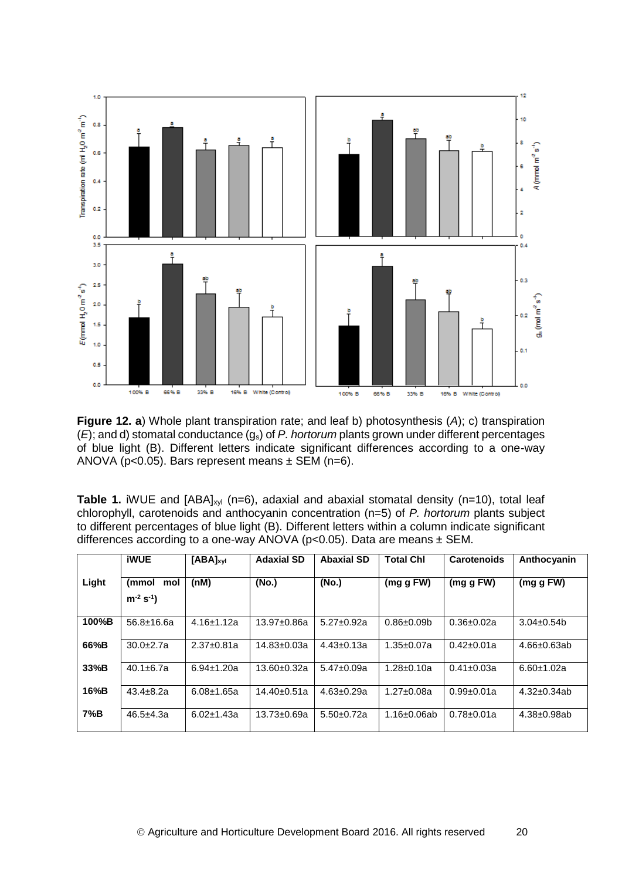![](_page_23_Figure_0.jpeg)

**Figure 12. a**) Whole plant transpiration rate; and leaf b) photosynthesis (*A*); c) transpiration (*E*); and d) stomatal conductance (gs) of *P. hortorum* plants grown under different percentages of blue light (B). Different letters indicate significant differences according to a one-way ANOVA ( $p < 0.05$ ). Bars represent means  $\pm$  SEM ( $n = 6$ ).

**Table 1.** iWUE and [ABA]<sub>xyl</sub> (n=6), adaxial and abaxial stomatal density (n=10), total leaf chlorophyll, carotenoids and anthocyanin concentration (n=5) of *P. hortorum* plants subject to different percentages of blue light (B). Different letters within a column indicate significant differences according to a one-way ANOVA (p<0.05). Data are means ± SEM.

|       | <b>iWUE</b>                     | $[ABA]_{xyl}$    | <b>Adaxial SD</b> | <b>Abaxial SD</b> | <b>Total Chl</b>   | <b>Carotenoids</b> | Anthocyanin        |
|-------|---------------------------------|------------------|-------------------|-------------------|--------------------|--------------------|--------------------|
| Light | (mmol<br>mol<br>$m^{-2} s^{-1}$ | (nM)             | (No.)             | (No.)             | (mg g FW)          | $(mq\ q\ FW)$      | (mg g FW)          |
| 100%B | $56.8 \pm 16.6a$                | $4.16 \pm 1.12a$ | $13.97 \pm 0.86a$ | $5.27 \pm 0.92a$  | $0.86 \pm 0.09$    | $0.36 \pm 0.02a$   | $3.04 \pm 0.54$    |
| 66%B  | $30.0 + 2.7a$                   | $2.37 \pm 0.81a$ | $14.83 \pm 0.03a$ | $4.43 \pm 0.13a$  | $1.35 \pm 0.07a$   | $0.42 \pm 0.01a$   | $4.66 \pm 0.63$ ab |
| 33%B  | $40.1 \pm 6.7a$                 | $6.94 \pm 1.20a$ | 13.60±0.32a       | $5.47 \pm 0.09a$  | $1.28 \pm 0.10a$   | $0.41 \pm 0.03a$   | $6.60 \pm 1.02a$   |
| 16%B  | $43.4 \pm 8.2a$                 | $6.08 \pm 1.65a$ | $14.40 \pm 0.51a$ | $4.63 \pm 0.29a$  | $1.27 \pm 0.08a$   | $0.99 + 0.01a$     | $4.32 \pm 0.34$ ab |
| 7%B   | $46.5 + 4.3a$                   | $6.02 \pm 1.43a$ | $13.73 \pm 0.69a$ | $5.50+0.72a$      | $1.16 \pm 0.06$ ab | $0.78 \pm 0.01a$   | $4.38 \pm 0.98$ ab |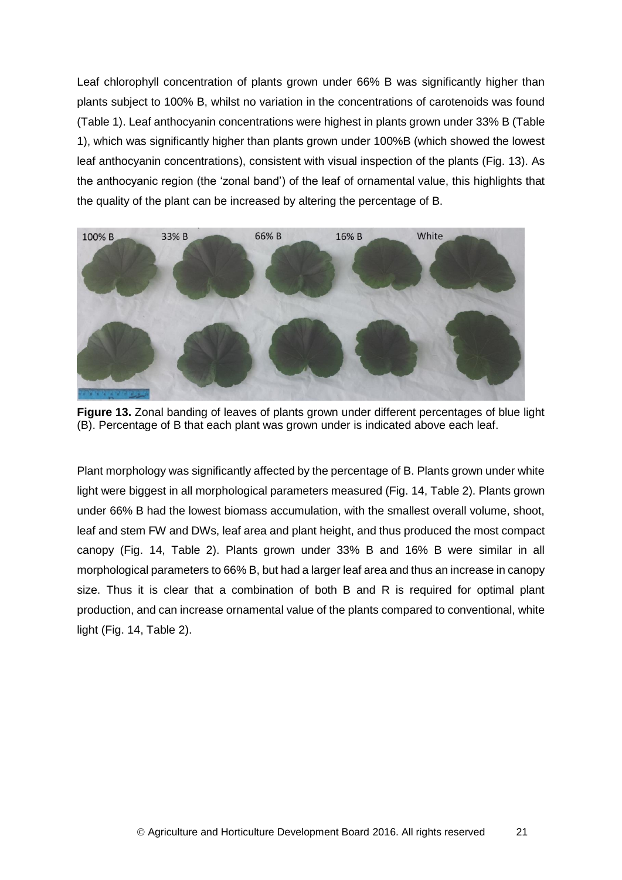Leaf chlorophyll concentration of plants grown under 66% B was significantly higher than plants subject to 100% B, whilst no variation in the concentrations of carotenoids was found (Table 1). Leaf anthocyanin concentrations were highest in plants grown under 33% B (Table 1), which was significantly higher than plants grown under 100%B (which showed the lowest leaf anthocyanin concentrations), consistent with visual inspection of the plants (Fig. 13). As the anthocyanic region (the 'zonal band') of the leaf of ornamental value, this highlights that the quality of the plant can be increased by altering the percentage of B.

![](_page_24_Picture_1.jpeg)

**Figure 13.** Zonal banding of leaves of plants grown under different percentages of blue light (B). Percentage of B that each plant was grown under is indicated above each leaf.

Plant morphology was significantly affected by the percentage of B. Plants grown under white light were biggest in all morphological parameters measured (Fig. 14, Table 2). Plants grown under 66% B had the lowest biomass accumulation, with the smallest overall volume, shoot, leaf and stem FW and DWs, leaf area and plant height, and thus produced the most compact canopy (Fig. 14, Table 2). Plants grown under 33% B and 16% B were similar in all morphological parameters to 66% B, but had a larger leaf area and thus an increase in canopy size. Thus it is clear that a combination of both B and R is required for optimal plant production, and can increase ornamental value of the plants compared to conventional, white light (Fig. 14, Table 2).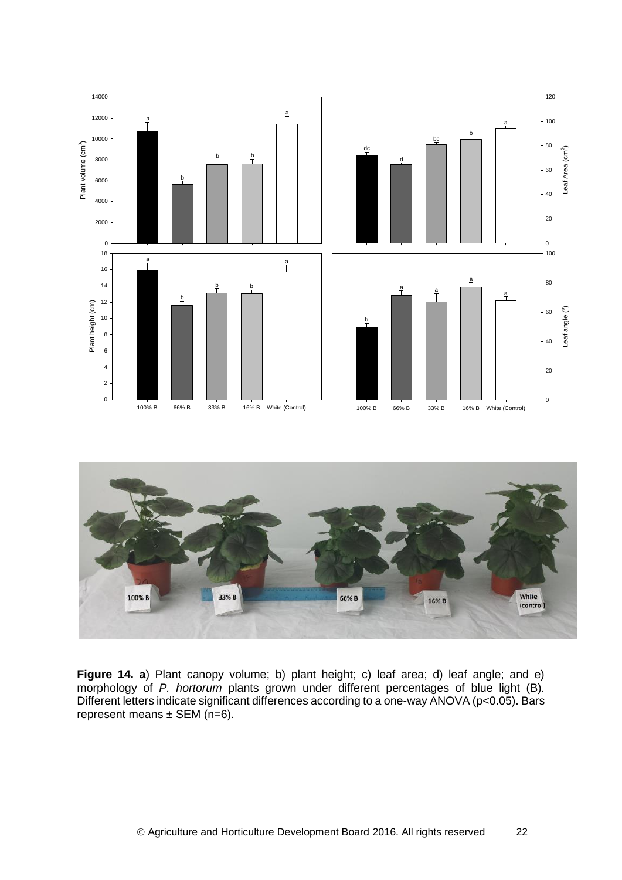![](_page_25_Figure_0.jpeg)

![](_page_25_Figure_1.jpeg)

Figure 14. a) Plant canopy volume; b) plant height; c) leaf area; d) leaf angle; and e) morphology of *P. hortorum* plants grown under different percentages of blue light (B). Different letters indicate significant differences according to a one-way ANOVA (p<0.05). Bars represent means  $\pm$  SEM (n=6).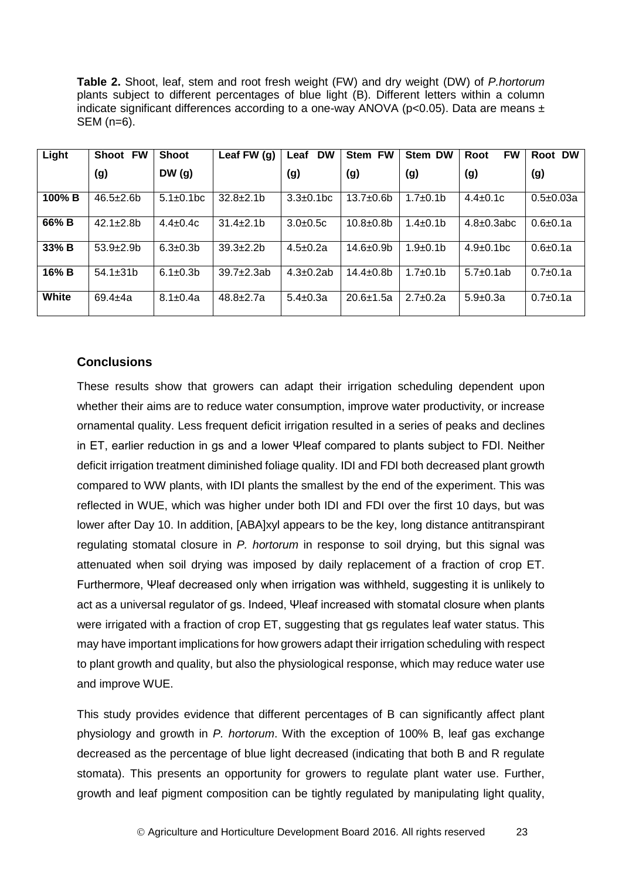**Table 2.** Shoot, leaf, stem and root fresh weight (FW) and dry weight (DW) of *P.hortorum* plants subject to different percentages of blue light (B). Different letters within a column indicate significant differences according to a one-way ANOVA ( $p$ <0.05). Data are means  $\pm$ SEM (n=6).

| Light     | <b>FW</b><br>Shoot | <b>Shoot</b>     | Leaf FW (g)      | <b>DW</b><br>Leaf | <b>FW</b><br><b>Stem</b> | <b>Stem DW</b>  | <b>FW</b><br>Root | Root DW         |
|-----------|--------------------|------------------|------------------|-------------------|--------------------------|-----------------|-------------------|-----------------|
|           | (g)                | DW(g)            |                  | (g)               | (g)                      | (g)             | (g)               | (g)             |
| $100\%$ B | $46.5 \pm 2.6$ b   | $5.1 \pm 0.1$ bc | $32.8 \pm 2.1$   | $3.3 \pm 0.1$ bc  | $13.7 + 0.6$             | $1.7 \pm 0.1$ b | $4.4 \pm 0.1c$    | $0.5 \pm 0.03a$ |
| 66% B     | $42.1 \pm 2.8$ b   | $4.4 \pm 0.4c$   | $31.4 \pm 2.1$   | $3.0 \pm 0.5c$    | $10.8 + 0.8$             | $1.4 \pm 0.1$   | $4.8 \pm 0.3$ abc | $0.6 + 0.1a$    |
| 33% B     | $53.9 + 2.9$       | $6.3 \pm 0.3 b$  | $39.3 \pm 2.2 b$ | $4.5 \pm 0.2a$    | $14.6 \pm 0.9$           | $1.9 \pm 0.1$   | $4.9 \pm 0.1$ bc  | $0.6 \pm 0.1a$  |
| $16\%$ B  | $54.1 \pm 31 b$    | $6.1 \pm 0.3$ b  | $39.7+2.3ab$     | $4.3 \pm 0.2$ ab  | $14.4 \pm 0.8$ b         | $1.7 \pm 0.1$   | $5.7 \pm 0.1$ ab  | $0.7 \pm 0.1a$  |
| White     | $69.4 + 4a$        | $8.1 \pm 0.4a$   | $48.8 \pm 2.7a$  | $5.4 \pm 0.3a$    | $20.6 + 1.5a$            | $2.7 \pm 0.2a$  | $5.9 \pm 0.3a$    | $0.7 \pm 0.1a$  |

### <span id="page-26-0"></span>**Conclusions**

These results show that growers can adapt their irrigation scheduling dependent upon whether their aims are to reduce water consumption, improve water productivity, or increase ornamental quality. Less frequent deficit irrigation resulted in a series of peaks and declines in ET, earlier reduction in gs and a lower Ψleaf compared to plants subject to FDI. Neither deficit irrigation treatment diminished foliage quality. IDI and FDI both decreased plant growth compared to WW plants, with IDI plants the smallest by the end of the experiment. This was reflected in WUE, which was higher under both IDI and FDI over the first 10 days, but was lower after Day 10. In addition, [ABA]xyl appears to be the key, long distance antitranspirant regulating stomatal closure in *P. hortorum* in response to soil drying, but this signal was attenuated when soil drying was imposed by daily replacement of a fraction of crop ET. Furthermore, Ψleaf decreased only when irrigation was withheld, suggesting it is unlikely to act as a universal regulator of gs. Indeed, Ψleaf increased with stomatal closure when plants were irrigated with a fraction of crop ET, suggesting that gs regulates leaf water status. This may have important implications for how growers adapt their irrigation scheduling with respect to plant growth and quality, but also the physiological response, which may reduce water use and improve WUE.

This study provides evidence that different percentages of B can significantly affect plant physiology and growth in *P. hortorum*. With the exception of 100% B, leaf gas exchange decreased as the percentage of blue light decreased (indicating that both B and R regulate stomata). This presents an opportunity for growers to regulate plant water use. Further, growth and leaf pigment composition can be tightly regulated by manipulating light quality,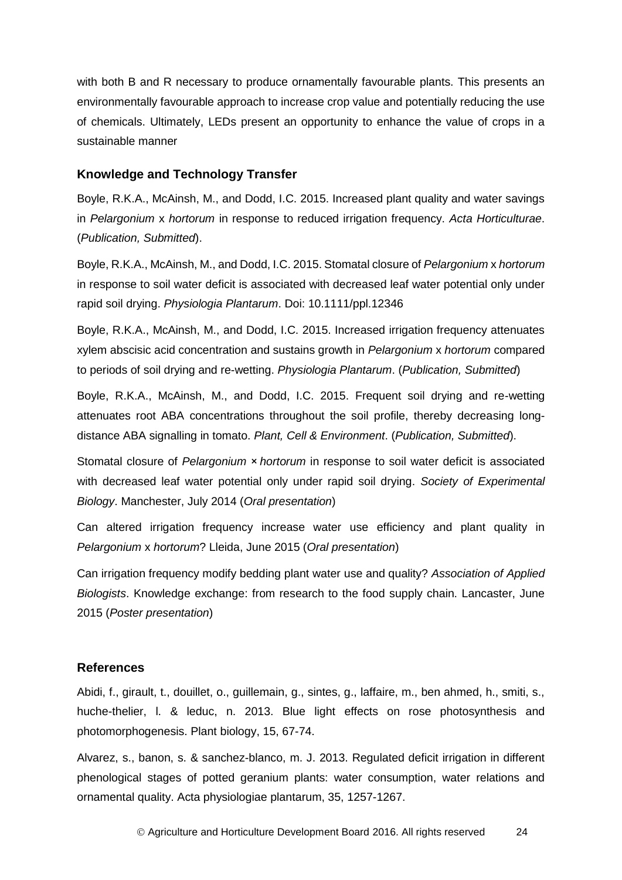with both B and R necessary to produce ornamentally favourable plants. This presents an environmentally favourable approach to increase crop value and potentially reducing the use of chemicals. Ultimately, LEDs present an opportunity to enhance the value of crops in a sustainable manner

### <span id="page-27-0"></span>**Knowledge and Technology Transfer**

Boyle, R.K.A., McAinsh, M., and Dodd, I.C. 2015. Increased plant quality and water savings in *Pelargonium* x *hortorum* in response to reduced irrigation frequency. *Acta Horticulturae*. (*Publication, Submitted*).

Boyle, R.K.A., McAinsh, M., and Dodd, I.C. 2015. Stomatal closure of *Pelargonium* x *hortorum* in response to soil water deficit is associated with decreased leaf water potential only under rapid soil drying. *Physiologia Plantarum*. Doi: 10.1111/ppl.12346

Boyle, R.K.A., McAinsh, M., and Dodd, I.C. 2015. Increased irrigation frequency attenuates xylem abscisic acid concentration and sustains growth in *Pelargonium* x *hortorum* compared to periods of soil drying and re-wetting. *Physiologia Plantarum*. (*Publication, Submitted*)

Boyle, R.K.A., McAinsh, M., and Dodd, I.C. 2015. Frequent soil drying and re-wetting attenuates root ABA concentrations throughout the soil profile, thereby decreasing longdistance ABA signalling in tomato. *Plant, Cell & Environment*. (*Publication, Submitted*).

Stomatal closure of *Pelargonium* × *hortorum* in response to soil water deficit is associated with decreased leaf water potential only under rapid soil drying. *Society of Experimental Biology*. Manchester, July 2014 (*Oral presentation*)

Can altered irrigation frequency increase water use efficiency and plant quality in *Pelargonium* x *hortorum*? Lleida, June 2015 (*Oral presentation*)

Can irrigation frequency modify bedding plant water use and quality? *Association of Applied Biologists*. Knowledge exchange: from research to the food supply chain. Lancaster, June 2015 (*Poster presentation*)

## <span id="page-27-1"></span>**References**

Abidi, f., girault, t., douillet, o., guillemain, g., sintes, g., laffaire, m., ben ahmed, h., smiti, s., huche-thelier, l. & leduc, n. 2013. Blue light effects on rose photosynthesis and photomorphogenesis. Plant biology, 15, 67-74.

Alvarez, s., banon, s. & sanchez-blanco, m. J. 2013. Regulated deficit irrigation in different phenological stages of potted geranium plants: water consumption, water relations and ornamental quality. Acta physiologiae plantarum, 35, 1257-1267.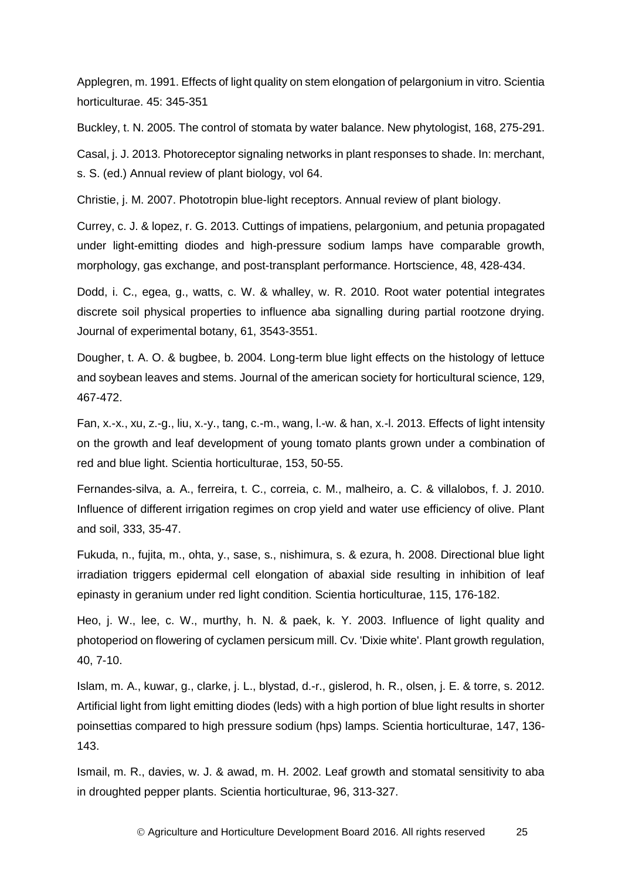Applegren, m. 1991. Effects of light quality on stem elongation of pelargonium in vitro. Scientia horticulturae. 45: 345-351

Buckley, t. N. 2005. The control of stomata by water balance. New phytologist, 168, 275-291.

Casal, j. J. 2013. Photoreceptor signaling networks in plant responses to shade. In: merchant, s. S. (ed.) Annual review of plant biology, vol 64.

Christie, j. M. 2007. Phototropin blue-light receptors. Annual review of plant biology.

Currey, c. J. & lopez, r. G. 2013. Cuttings of impatiens, pelargonium, and petunia propagated under light-emitting diodes and high-pressure sodium lamps have comparable growth, morphology, gas exchange, and post-transplant performance. Hortscience, 48, 428-434.

Dodd, i. C., egea, g., watts, c. W. & whalley, w. R. 2010. Root water potential integrates discrete soil physical properties to influence aba signalling during partial rootzone drying. Journal of experimental botany, 61, 3543-3551.

Dougher, t. A. O. & bugbee, b. 2004. Long-term blue light effects on the histology of lettuce and soybean leaves and stems. Journal of the american society for horticultural science, 129, 467-472.

Fan, x.-x., xu, z.-g., liu, x.-y., tang, c.-m., wang, l.-w. & han, x.-l. 2013. Effects of light intensity on the growth and leaf development of young tomato plants grown under a combination of red and blue light. Scientia horticulturae, 153, 50-55.

Fernandes-silva, a. A., ferreira, t. C., correia, c. M., malheiro, a. C. & villalobos, f. J. 2010. Influence of different irrigation regimes on crop yield and water use efficiency of olive. Plant and soil, 333, 35-47.

Fukuda, n., fujita, m., ohta, y., sase, s., nishimura, s. & ezura, h. 2008. Directional blue light irradiation triggers epidermal cell elongation of abaxial side resulting in inhibition of leaf epinasty in geranium under red light condition. Scientia horticulturae, 115, 176-182.

Heo, j. W., lee, c. W., murthy, h. N. & paek, k. Y. 2003. Influence of light quality and photoperiod on flowering of cyclamen persicum mill. Cv. 'Dixie white'. Plant growth regulation, 40, 7-10.

Islam, m. A., kuwar, g., clarke, j. L., blystad, d.-r., gislerod, h. R., olsen, j. E. & torre, s. 2012. Artificial light from light emitting diodes (leds) with a high portion of blue light results in shorter poinsettias compared to high pressure sodium (hps) lamps. Scientia horticulturae, 147, 136- 143.

Ismail, m. R., davies, w. J. & awad, m. H. 2002. Leaf growth and stomatal sensitivity to aba in droughted pepper plants. Scientia horticulturae, 96, 313-327.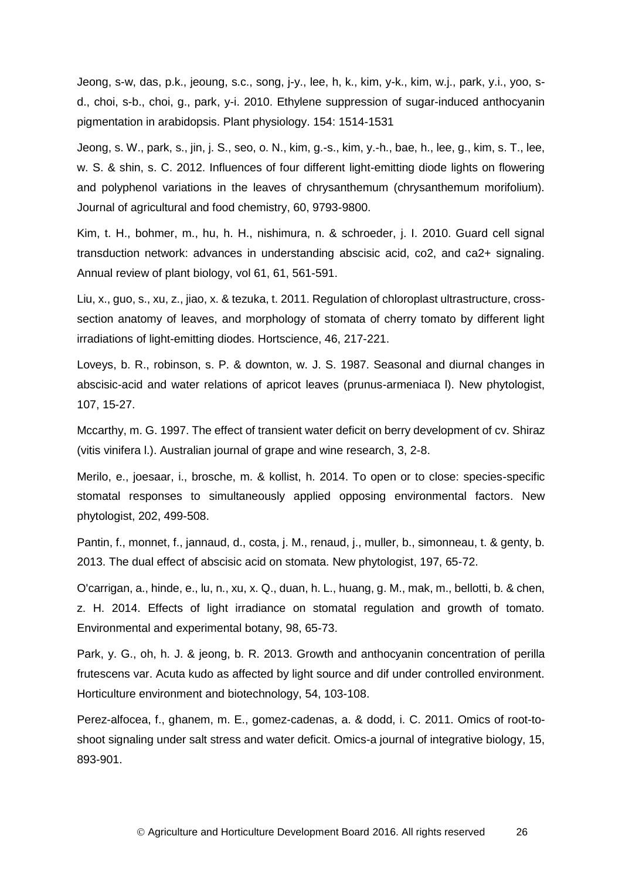Jeong, s-w, das, p.k., jeoung, s.c., song, j-y., lee, h, k., kim, y-k., kim, w.j., park, y.i., yoo, sd., choi, s-b., choi, g., park, y-i. 2010. Ethylene suppression of sugar-induced anthocyanin pigmentation in arabidopsis. Plant physiology. 154: 1514-1531

Jeong, s. W., park, s., jin, j. S., seo, o. N., kim, g.-s., kim, y.-h., bae, h., lee, g., kim, s. T., lee, w. S. & shin, s. C. 2012. Influences of four different light-emitting diode lights on flowering and polyphenol variations in the leaves of chrysanthemum (chrysanthemum morifolium). Journal of agricultural and food chemistry, 60, 9793-9800.

Kim, t. H., bohmer, m., hu, h. H., nishimura, n. & schroeder, j. I. 2010. Guard cell signal transduction network: advances in understanding abscisic acid, co2, and ca2+ signaling. Annual review of plant biology, vol 61, 61, 561-591.

Liu, x., guo, s., xu, z., jiao, x. & tezuka, t. 2011. Regulation of chloroplast ultrastructure, crosssection anatomy of leaves, and morphology of stomata of cherry tomato by different light irradiations of light-emitting diodes. Hortscience, 46, 217-221.

Loveys, b. R., robinson, s. P. & downton, w. J. S. 1987. Seasonal and diurnal changes in abscisic-acid and water relations of apricot leaves (prunus-armeniaca l). New phytologist, 107, 15-27.

Mccarthy, m. G. 1997. The effect of transient water deficit on berry development of cv. Shiraz (vitis vinifera l.). Australian journal of grape and wine research, 3, 2-8.

Merilo, e., joesaar, i., brosche, m. & kollist, h. 2014. To open or to close: species-specific stomatal responses to simultaneously applied opposing environmental factors. New phytologist, 202, 499-508.

Pantin, f., monnet, f., jannaud, d., costa, j. M., renaud, j., muller, b., simonneau, t. & genty, b. 2013. The dual effect of abscisic acid on stomata. New phytologist, 197, 65-72.

O'carrigan, a., hinde, e., lu, n., xu, x. Q., duan, h. L., huang, g. M., mak, m., bellotti, b. & chen, z. H. 2014. Effects of light irradiance on stomatal regulation and growth of tomato. Environmental and experimental botany, 98, 65-73.

Park, y. G., oh, h. J. & jeong, b. R. 2013. Growth and anthocyanin concentration of perilla frutescens var. Acuta kudo as affected by light source and dif under controlled environment. Horticulture environment and biotechnology, 54, 103-108.

Perez-alfocea, f., ghanem, m. E., gomez-cadenas, a. & dodd, i. C. 2011. Omics of root-toshoot signaling under salt stress and water deficit. Omics-a journal of integrative biology, 15, 893-901.